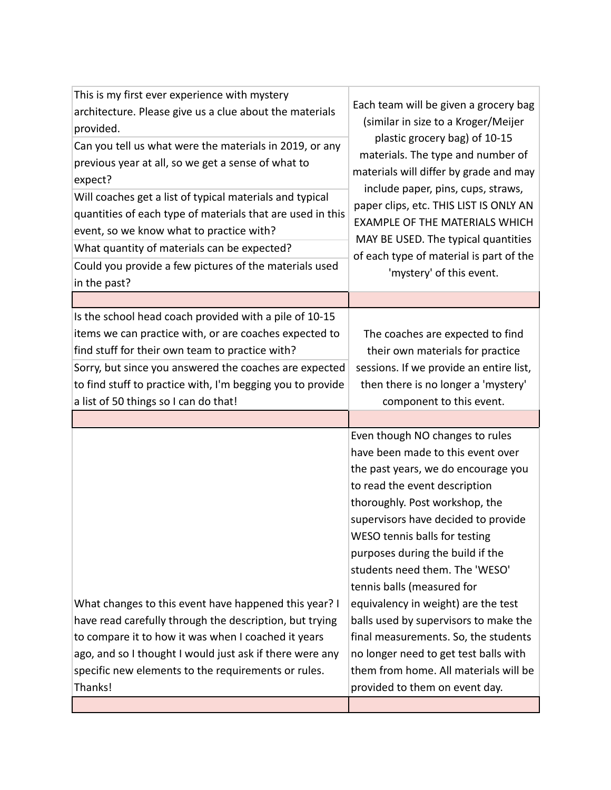| This is my first ever experience with mystery<br>architecture. Please give us a clue about the materials      | Each team will be given a grocery bag<br>(similar in size to a Kroger/Meijer<br>plastic grocery bag) of 10-15 |
|---------------------------------------------------------------------------------------------------------------|---------------------------------------------------------------------------------------------------------------|
| provided.                                                                                                     |                                                                                                               |
| Can you tell us what were the materials in 2019, or any<br>previous year at all, so we get a sense of what to | materials. The type and number of                                                                             |
| expect?                                                                                                       | materials will differ by grade and may                                                                        |
| Will coaches get a list of typical materials and typical                                                      | include paper, pins, cups, straws,                                                                            |
| quantities of each type of materials that are used in this                                                    | paper clips, etc. THIS LIST IS ONLY AN<br><b>EXAMPLE OF THE MATERIALS WHICH</b>                               |
| event, so we know what to practice with?                                                                      | MAY BE USED. The typical quantities                                                                           |
| What quantity of materials can be expected?                                                                   | of each type of material is part of the                                                                       |
| Could you provide a few pictures of the materials used<br>in the past?                                        | 'mystery' of this event.                                                                                      |
|                                                                                                               |                                                                                                               |
| Is the school head coach provided with a pile of 10-15                                                        |                                                                                                               |
| items we can practice with, or are coaches expected to                                                        | The coaches are expected to find                                                                              |
| find stuff for their own team to practice with?                                                               | their own materials for practice                                                                              |
| Sorry, but since you answered the coaches are expected                                                        | sessions. If we provide an entire list,                                                                       |
| to find stuff to practice with, I'm begging you to provide                                                    | then there is no longer a 'mystery'                                                                           |
| a list of 50 things so I can do that!                                                                         | component to this event.                                                                                      |
|                                                                                                               |                                                                                                               |
|                                                                                                               | Even though NO changes to rules                                                                               |
|                                                                                                               | have been made to this event over                                                                             |
|                                                                                                               | the past years, we do encourage you                                                                           |
|                                                                                                               | to read the event description                                                                                 |
|                                                                                                               | thoroughly. Post workshop, the                                                                                |
|                                                                                                               | supervisors have decided to provide                                                                           |
|                                                                                                               | WESO tennis balls for testing                                                                                 |
|                                                                                                               | purposes during the build if the                                                                              |
|                                                                                                               | students need them. The 'WESO'                                                                                |
|                                                                                                               | tennis balls (measured for                                                                                    |
| What changes to this event have happened this year? I                                                         | equivalency in weight) are the test                                                                           |
| have read carefully through the description, but trying                                                       | balls used by supervisors to make the                                                                         |
| to compare it to how it was when I coached it years                                                           | final measurements. So, the students                                                                          |
| ago, and so I thought I would just ask if there were any                                                      | no longer need to get test balls with                                                                         |
|                                                                                                               |                                                                                                               |
| specific new elements to the requirements or rules.                                                           | them from home. All materials will be                                                                         |
| Thanks!                                                                                                       | provided to them on event day.                                                                                |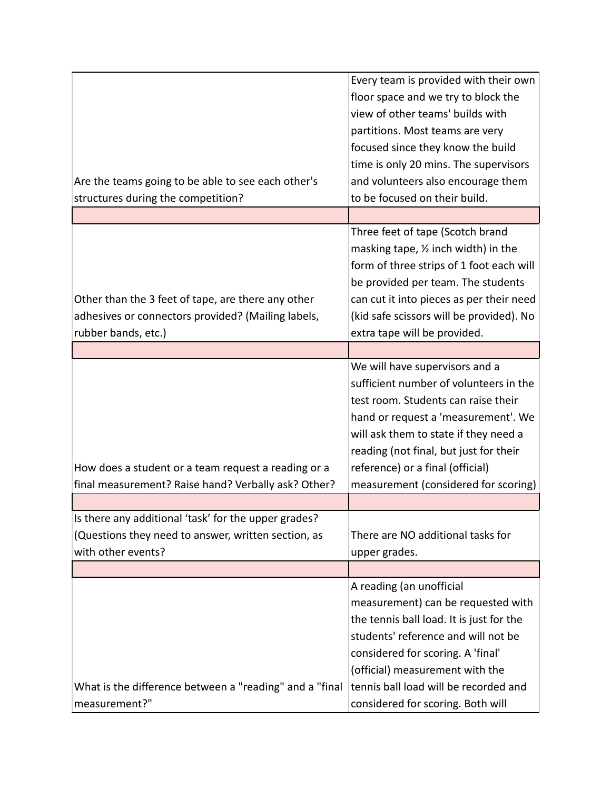|                                                         | Every team is provided with their own          |
|---------------------------------------------------------|------------------------------------------------|
|                                                         | floor space and we try to block the            |
|                                                         | view of other teams' builds with               |
|                                                         | partitions. Most teams are very                |
|                                                         | focused since they know the build              |
|                                                         | time is only 20 mins. The supervisors          |
| Are the teams going to be able to see each other's      | and volunteers also encourage them             |
| structures during the competition?                      | to be focused on their build.                  |
|                                                         |                                                |
|                                                         | Three feet of tape (Scotch brand               |
|                                                         | masking tape, $\frac{1}{2}$ inch width) in the |
|                                                         | form of three strips of 1 foot each will       |
|                                                         | be provided per team. The students             |
| Other than the 3 feet of tape, are there any other      | can cut it into pieces as per their need       |
| adhesives or connectors provided? (Mailing labels,      | (kid safe scissors will be provided). No       |
| rubber bands, etc.)                                     | extra tape will be provided.                   |
|                                                         |                                                |
|                                                         | We will have supervisors and a                 |
|                                                         | sufficient number of volunteers in the         |
|                                                         | test room. Students can raise their            |
|                                                         | hand or request a 'measurement'. We            |
|                                                         | will ask them to state if they need a          |
|                                                         | reading (not final, but just for their         |
| How does a student or a team request a reading or a     | reference) or a final (official)               |
|                                                         |                                                |
| final measurement? Raise hand? Verbally ask? Other?     | measurement (considered for scoring)           |
| Is there any additional 'task' for the upper grades?    |                                                |
|                                                         | There are NO additional tasks for              |
| (Questions they need to answer, written section, as     |                                                |
| with other events?                                      | upper grades.                                  |
|                                                         |                                                |
|                                                         | A reading (an unofficial                       |
|                                                         | measurement) can be requested with             |
|                                                         | the tennis ball load. It is just for the       |
|                                                         | students' reference and will not be            |
|                                                         | considered for scoring. A 'final'              |
|                                                         | (official) measurement with the                |
| What is the difference between a "reading" and a "final | tennis ball load will be recorded and          |
| measurement?"                                           | considered for scoring. Both will              |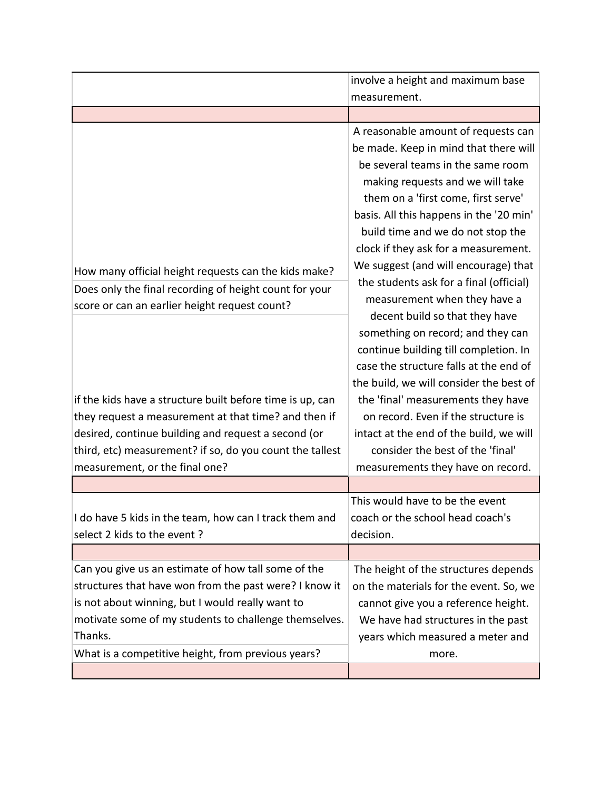|                                                           | involve a height and maximum base       |
|-----------------------------------------------------------|-----------------------------------------|
|                                                           | measurement.                            |
|                                                           |                                         |
|                                                           | A reasonable amount of requests can     |
|                                                           | be made. Keep in mind that there will   |
|                                                           | be several teams in the same room       |
|                                                           | making requests and we will take        |
|                                                           | them on a 'first come, first serve'     |
|                                                           | basis. All this happens in the '20 min' |
|                                                           | build time and we do not stop the       |
|                                                           | clock if they ask for a measurement.    |
| How many official height requests can the kids make?      | We suggest (and will encourage) that    |
| Does only the final recording of height count for your    | the students ask for a final (official) |
| score or can an earlier height request count?             | measurement when they have a            |
|                                                           | decent build so that they have          |
|                                                           | something on record; and they can       |
|                                                           | continue building till completion. In   |
|                                                           | case the structure falls at the end of  |
|                                                           | the build, we will consider the best of |
| if the kids have a structure built before time is up, can | the 'final' measurements they have      |
| they request a measurement at that time? and then if      | on record. Even if the structure is     |
| desired, continue building and request a second (or       | intact at the end of the build, we will |
| third, etc) measurement? if so, do you count the tallest  | consider the best of the 'final'        |
| measurement, or the final one?                            | measurements they have on record.       |
|                                                           |                                         |
|                                                           | This would have to be the event         |
| I do have 5 kids in the team, how can I track them and    | coach or the school head coach's        |
| select 2 kids to the event?                               | decision.                               |
|                                                           |                                         |
| Can you give us an estimate of how tall some of the       | The height of the structures depends    |
| structures that have won from the past were? I know it    | on the materials for the event. So, we  |
| is not about winning, but I would really want to          | cannot give you a reference height.     |
| motivate some of my students to challenge themselves.     | We have had structures in the past      |
| Thanks.                                                   | years which measured a meter and        |
| What is a competitive height, from previous years?        | more.                                   |
|                                                           |                                         |